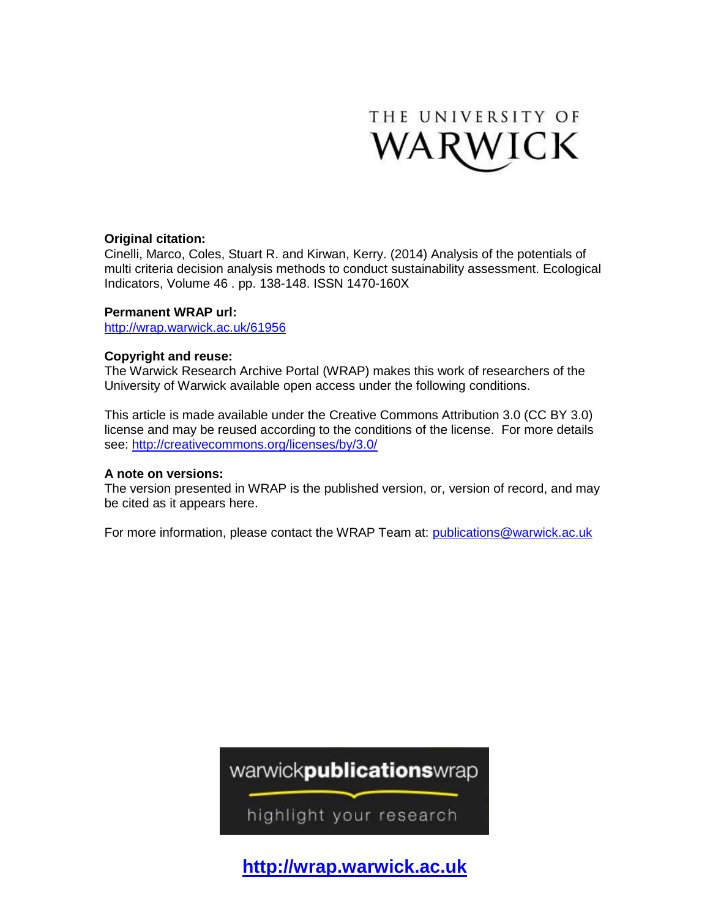

# **Original citation:**

Cinelli, Marco, Coles, Stuart R. and Kirwan, Kerry. (2014) Analysis of the potentials of multi criteria decision analysis methods to conduct sustainability assessment. Ecological Indicators, Volume 46 . pp. 138-148. ISSN 1470-160X

# **Permanent WRAP url:**

<http://wrap.warwick.ac.uk/61956>

# **Copyright and reuse:**

The Warwick Research Archive Portal (WRAP) makes this work of researchers of the University of Warwick available open access under the following conditions.

This article is made available under the Creative Commons Attribution 3.0 (CC BY 3.0) license and may be reused according to the conditions of the license. For more details see:<http://creativecommons.org/licenses/by/3.0/>

# **A note on versions:**

The version presented in WRAP is the published version, or, version of record, and may be cited as it appears here.

For more information, please contact the WRAP Team at: [publications@warwick.ac.uk](mailto:publications@warwick.ac.uk)



highlight your research

**[http://wrap.warwick.ac.uk](http://wrap.warwick.ac.uk/)**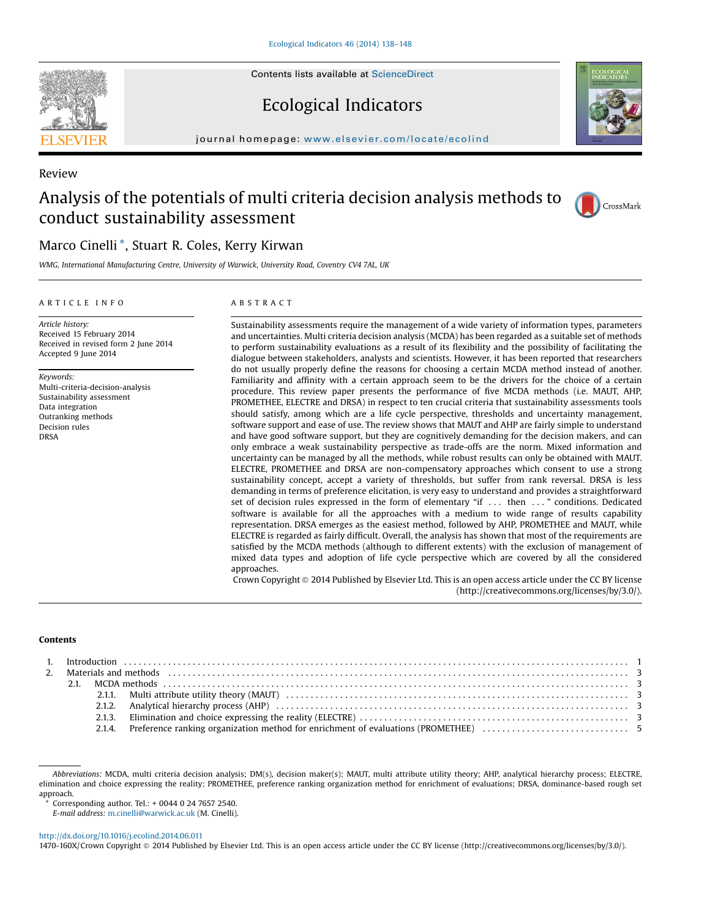

Contents lists available at [ScienceDirect](http://www.sciencedirect.com/science/journal/1470160X)

# Ecological Indicators



journal homepage: <www.elsevier.com/locate/ecolind>

# Review

# Analysis of the potentials of multi criteria decision analysis methods to conduct sustainability assessment



# Marco Cinelli \*, Stuart R. Coles, Kerry Kirwan

WMG, International Manufacturing Centre, University of Warwick, University Road, Coventry CV4 7AL, UK

# A R T I C L E I N F O

# A B S T R A C T

Article history: Received 15 February 2014 Received in revised form 2 June 2014 Accepted 9 June 2014

Keywords: Multi-criteria-decision-analysis Sustainability assessment Data integration Outranking methods Decision rules

DRSA

Sustainability assessments require the management of a wide variety of information types, parameters and uncertainties. Multi criteria decision analysis (MCDA) has been regarded as a suitable set of methods to perform sustainability evaluations as a result of its flexibility and the possibility of facilitating the dialogue between stakeholders, analysts and scientists. However, it has been reported that researchers do not usually properly define the reasons for choosing a certain MCDA method instead of another. Familiarity and affinity with a certain approach seem to be the drivers for the choice of a certain procedure. This review paper presents the performance of five MCDA methods (i.e. MAUT, AHP, PROMETHEE, ELECTRE and DRSA) in respect to ten crucial criteria that sustainability assessments tools should satisfy, among which are a life cycle perspective, thresholds and uncertainty management, software support and ease of use. The review shows that MAUT and AHP are fairly simple to understand and have good software support, but they are cognitively demanding for the decision makers, and can only embrace a weak sustainability perspective as trade-offs are the norm. Mixed information and uncertainty can be managed by all the methods, while robust results can only be obtained with MAUT. ELECTRE, PROMETHEE and DRSA are non-compensatory approaches which consent to use a strong sustainability concept, accept a variety of thresholds, but suffer from rank reversal. DRSA is less demanding in terms of preference elicitation, is very easy to understand and provides a straightforward set of decision rules expressed in the form of elementary "if . . . then . . . " conditions. Dedicated software is available for all the approaches with a medium to wide range of results capability representation. DRSA emerges as the easiest method, followed by AHP, PROMETHEE and MAUT, while ELECTRE is regarded as fairly difficult. Overall, the analysis has shown that most of the requirements are satisfied by the MCDA methods (although to different extents) with the exclusion of management of mixed data types and adoption of life cycle perspective which are covered by all the considered approaches.

Crown Copyright ã 2014 Published by Elsevier Ltd. This is an open access article under the CC BY license (http://creativecommons.org/licenses/by/3.0/).

# Contents

|  |  |  | 2.1.2. Analytical hierarchy process (AHP) (all accordinational contracts and the control of 3 |  |  |  |
|--|--|--|-----------------------------------------------------------------------------------------------|--|--|--|
|  |  |  |                                                                                               |  |  |  |
|  |  |  |                                                                                               |  |  |  |

<http://dx.doi.org/10.1016/j.ecolind.2014.06.011>

1470-160X/Crown Copyright ã 2014 Published by Elsevier Ltd. This is an open access article under the CC BY license (http://creativecommons.org/licenses/by/3.0/).

Abbreviations: MCDA, multi criteria decision analysis; DM(s), decision maker(s); MAUT, multi attribute utility theory; AHP, analytical hierarchy process; ELECTRE, elimination and choice expressing the reality; PROMETHEE, preference ranking organization method for enrichment of evaluations; DRSA, dominance-based rough set approach.

Corresponding author. Tel.: + 0044 0 24 7657 2540.

E-mail address: [m.cinelli@warwick.ac.uk](mailto:m.cinelli@warwick.ac.uk) (M. Cinelli).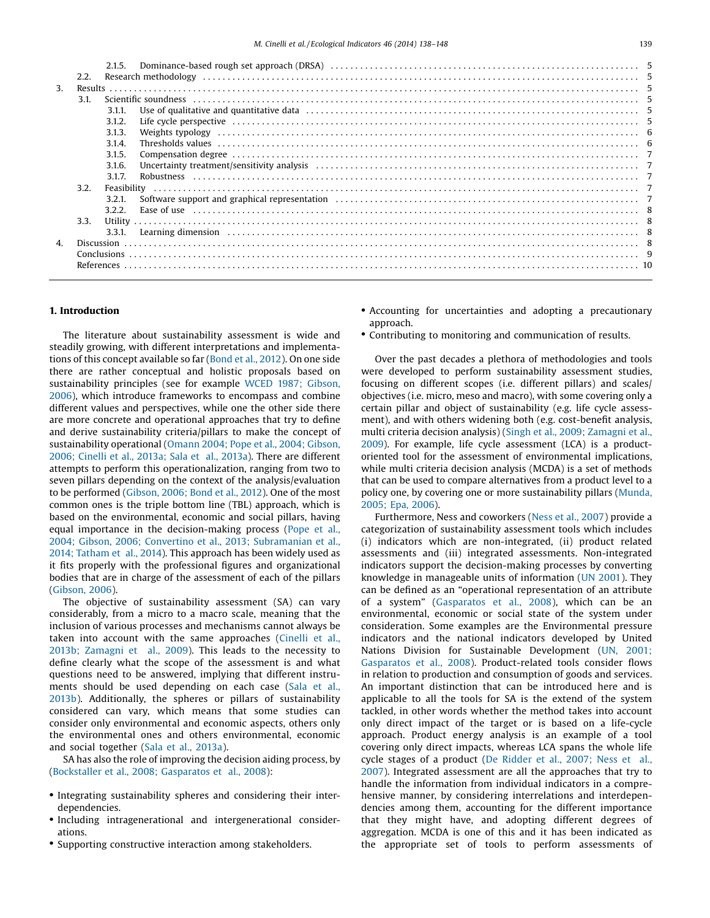|              |      | 2.1.5. |                                                                                                                                                                                                                                |  |
|--------------|------|--------|--------------------------------------------------------------------------------------------------------------------------------------------------------------------------------------------------------------------------------|--|
|              | 2.2. |        | Research methodology (a) research methodology (a) research methodology (a) research methodology (a) research methodology (a) research methodology (a) research methodology (a) research methodology (a) research methodology ( |  |
| 3.           |      |        |                                                                                                                                                                                                                                |  |
|              | 3.1. |        |                                                                                                                                                                                                                                |  |
|              |      | 3.1.1  |                                                                                                                                                                                                                                |  |
|              |      | 3.1.2. |                                                                                                                                                                                                                                |  |
|              |      | 3.1.3. |                                                                                                                                                                                                                                |  |
|              |      | 3.1.4. |                                                                                                                                                                                                                                |  |
|              |      | 3.1.5. |                                                                                                                                                                                                                                |  |
|              |      | 3.1.6. |                                                                                                                                                                                                                                |  |
|              |      | 3.1.7. |                                                                                                                                                                                                                                |  |
|              |      |        |                                                                                                                                                                                                                                |  |
|              |      | 3.2.1  |                                                                                                                                                                                                                                |  |
|              |      | 3.2.2. | Ease of use with a continuous control of the control of the control of the control of the control of the control of the control of the control of the control of the control of the control of the control of the control of t |  |
|              | 3.3. |        |                                                                                                                                                                                                                                |  |
|              |      | 3.3.1. | Learning dimension (1990) (1990) (1990) (1990) (1990) (1990) (1990) (1990) (1990) (1990) (1990) (1990) (1990) (1990) (1990) (1990) (1990) (1990) (1990) (1990) (1990) (1990) (1990) (1990) (1990) (1990) (1990) (1990) (1990)  |  |
| $\mathbf{A}$ |      |        |                                                                                                                                                                                                                                |  |
|              |      |        |                                                                                                                                                                                                                                |  |
|              |      |        |                                                                                                                                                                                                                                |  |
|              |      |        |                                                                                                                                                                                                                                |  |

# 1. Introduction

The literature about sustainability assessment is wide and steadily growing, with different interpretations and implementations of this concept available so far [\(Bond](#page-10-0) et al., 2012). On one side there are rather conceptual and holistic proposals based on sustainability principles (see for example WCED 1987; [Gibson,](#page-11-0) [2006](#page-11-0)), which introduce frameworks to encompass and combine different values and perspectives, while one the other side there are more concrete and operational approaches that try to define and derive sustainability criteria/pillars to make the concept of sustainability operational (Omann 2004; Pope et al., 2004; [Gibson,](#page-11-0) 2006; Cinelli et al., [2013a;](#page-11-0) Sala et al., 2013a). There are different attempts to perform this operationalization, ranging from two to seven pillars depending on the context of the analysis/evaluation to be performed ([Gibson,](#page-10-0) 2006; Bond et al., 2012). One of the most common ones is the triple bottom line (TBL) approach, which is based on the environmental, economic and social pillars, having equal importance in the decision-making process [\(Pope](#page-11-0) et al., 2004; Gibson, 2006; Convertino et al., 2013; [Subramanian](#page-11-0) et al., 2014; [Tatham](#page-11-0) et al., 2014). This approach has been widely used as it fits properly with the professional figures and organizational bodies that are in charge of the assessment of each of the pillars ([Gibson,](#page-10-0) 2006).

The objective of sustainability assessment (SA) can vary considerably, from a micro to a macro scale, meaning that the inclusion of various processes and mechanisms cannot always be taken into account with the same approaches [\(Cinelli](#page-10-0) et al., 2013b; [Zamagni](#page-10-0) et al., 2009). This leads to the necessity to define clearly what the scope of the assessment is and what questions need to be answered, implying that different instruments should be used depending on each case [\(Sala](#page-11-0) et al., [2013b](#page-11-0)). Additionally, the spheres or pillars of sustainability considered can vary, which means that some studies can consider only environmental and economic aspects, others only the environmental ones and others environmental, economic and social together (Sala et al., [2013a](#page-11-0)).

SA has also the role of improving the decision aiding process, by (Bockstaller et al., 2008; [Gasparatos](#page-10-0) et al., 2008):

- Integrating sustainability spheres and considering their interdependencies.
- Including intragenerational and intergenerational considerations.
- Supporting constructive interaction among stakeholders.
- Accounting for uncertainties and adopting a precautionary approach.
- Contributing to monitoring and communication of results.

Over the past decades a plethora of methodologies and tools were developed to perform sustainability assessment studies, focusing on different scopes (i.e. different pillars) and scales/ objectives (i.e. micro, meso and macro), with some covering only a certain pillar and object of sustainability (e.g. life cycle assessment), and with others widening both (e.g. cost-benefit analysis, multi criteria decision analysis) (Singh et al., 2009; [Zamagni](#page-11-0) et al., [2009\)](#page-11-0). For example, life cycle assessment (LCA) is a productoriented tool for the assessment of environmental implications, while multi criteria decision analysis (MCDA) is a set of methods that can be used to compare alternatives from a product level to a policy one, by covering one or more sustainability pillars ([Munda,](#page-11-0) [2005;](#page-11-0) Epa, 2006).

Furthermore, Ness and coworkers (Ness et al., [2007](#page-11-0)) provide a categorization of sustainability assessment tools which includes (i) indicators which are non-integrated, (ii) product related assessments and (iii) integrated assessments. Non-integrated indicators support the decision-making processes by converting knowledge in manageable units of information (UN [2001](#page-11-0)). They can be defined as an "operational representation of an attribute of a system" [\(Gasparatos](#page-10-0) et al., 2008), which can be an environmental, economic or social state of the system under consideration. Some examples are the Environmental pressure indicators and the national indicators developed by United Nations Division for Sustainable Development (UN, [2001;](#page-11-0) [Gasparatos](#page-11-0) et al., 2008). Product-related tools consider flows in relation to production and consumption of goods and services. An important distinction that can be introduced here and is applicable to all the tools for SA is the extend of the system tackled, in other words whether the method takes into account only direct impact of the target or is based on a life-cycle approach. Product energy analysis is an example of a tool covering only direct impacts, whereas LCA spans the whole life cycle stages of a product (De [Ridder](#page-10-0) et al., 2007; Ness et al., [2007](#page-10-0)). Integrated assessment are all the approaches that try to handle the information from individual indicators in a comprehensive manner, by considering interrelations and interdependencies among them, accounting for the different importance that they might have, and adopting different degrees of aggregation. MCDA is one of this and it has been indicated as the appropriate set of tools to perform assessments of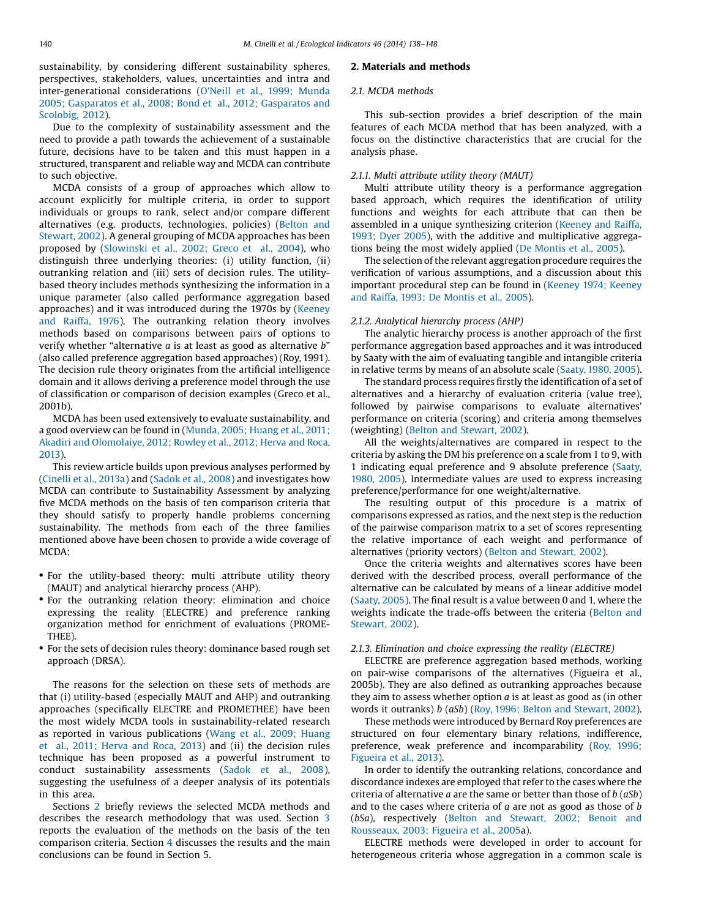sustainability, by considering different sustainability spheres, perspectives, stakeholders, values, uncertainties and intra and inter-generational considerations (O'Neill et al., 1999; [Munda](#page-11-0) 2005; [Gasparatos](#page-11-0) et al., 2008; Bond et al., 2012; Gasparatos and [Scolobig,](#page-11-0) 2012).

Due to the complexity of sustainability assessment and the need to provide a path towards the achievement of a sustainable future, decisions have to be taken and this must happen in a structured, transparent and reliable way and MCDA can contribute to such objective.

MCDA consists of a group of approaches which allow to account explicitly for multiple criteria, in order to support individuals or groups to rank, select and/or compare different alternatives (e.g. products, technologies, policies) ([Belton](#page-10-0) and [Stewart,](#page-10-0) 2002). A general grouping of MCDA approaches has been proposed by ([Slowinski](#page-11-0) et al., 2002; Greco et al., 2004), who distinguish three underlying theories: (i) utility function, (ii) outranking relation and (iii) sets of decision rules. The utilitybased theory includes methods synthesizing the information in a unique parameter (also called performance aggregation based approaches) and it was introduced during the 1970s by ([Keeney](#page-10-0) and [Raiffa,](#page-10-0) 1976). The outranking relation theory involves methods based on comparisons between pairs of options to verify whether "alternative  $a$  is at least as good as alternative  $b$ " (also called preference aggregation based approaches) (Roy, 1991). The decision rule theory originates from the artificial intelligence domain and it allows deriving a preference model through the use of classification or comparison of decision examples (Greco et al., 2001b).

MCDA has been used extensively to evaluate sustainability, and a good overview can be found in [\(Munda,](#page-11-0) 2005; Huang et al., 2011; Akadiri and [Olomolaiye,](#page-11-0) 2012; Rowley et al., 2012; Herva and Roca, [2013](#page-11-0)).

This review article builds upon previous analyses performed by ([Cinelli](#page-10-0) et al., 2013a) and ([Sadok](#page-11-0) et al., 2008) and investigates how MCDA can contribute to Sustainability Assessment by analyzing five MCDA methods on the basis of ten comparison criteria that they should satisfy to properly handle problems concerning sustainability. The methods from each of the three families mentioned above have been chosen to provide a wide coverage of MCDA:

- For the utility-based theory: multi attribute utility theory (MAUT) and analytical hierarchy process (AHP).
- For the outranking relation theory: elimination and choice expressing the reality (ELECTRE) and preference ranking organization method for enrichment of evaluations (PROME-THEE).
- For the sets of decision rules theory: dominance based rough set approach (DRSA).

The reasons for the selection on these sets of methods are that (i) utility-based (especially MAUT and AHP) and outranking approaches (specifically ELECTRE and PROMETHEE) have been the most widely MCDA tools in sustainability-related research as reported in various publications (Wang et al., 2009; [Huang](#page-11-0) et al., 2011; [Herva](#page-11-0) and Roca, 2013) and (ii) the decision rules technique has been proposed as a powerful instrument to conduct sustainability assessments ([Sadok](#page-11-0) et al., 2008), suggesting the usefulness of a deeper analysis of its potentials in this area.

Sections 2 briefly reviews the selected MCDA methods and describes the research methodology that was used. Section [3](#page-5-0) reports the evaluation of the methods on the basis of the ten comparison criteria, Section [4](#page-8-0) discusses the results and the main conclusions can be found in Section 5.

# 2. Materials and methods

## 2.1. MCDA methods

This sub-section provides a brief description of the main features of each MCDA method that has been analyzed, with a focus on the distinctive characteristics that are crucial for the analysis phase.

## 2.1.1. Multi attribute utility theory (MAUT)

Multi attribute utility theory is a performance aggregation based approach, which requires the identification of utility functions and weights for each attribute that can then be assembled in a unique synthesizing criterion ([Keeney](#page-11-0) and Raiffa, [1993;](#page-11-0) Dyer 2005), with the additive and multiplicative aggregations being the most widely applied (De [Montis](#page-10-0) et al., 2005).

The selection of the relevant aggregation procedure requires the verification of various assumptions, and a discussion about this important procedural step can be found in [\(Keeney](#page-10-0) 1974; Keeney and Raiffa, 1993; De [Montis](#page-10-0) et al., 2005).

#### 2.1.2. Analytical hierarchy process (AHP)

The analytic hierarchy process is another approach of the first performance aggregation based approaches and it was introduced by Saaty with the aim of evaluating tangible and intangible criteria in relative terms by means of an absolute scale [\(Saaty,](#page-11-0) 1980, 2005).

The standard process requires firstly the identification of a set of alternatives and a hierarchy of evaluation criteria (value tree), followed by pairwise comparisons to evaluate alternatives' performance on criteria (scoring) and criteria among themselves (weighting) (Belton and [Stewart,](#page-10-0) 2002).

All the weights/alternatives are compared in respect to the criteria by asking the DM his preference on a scale from 1 to 9, with 1 indicating equal preference and 9 absolute preference ([Saaty,](#page-11-0) [1980,](#page-11-0) 2005). Intermediate values are used to express increasing preference/performance for one weight/alternative.

The resulting output of this procedure is a matrix of comparisons expressed as ratios, and the next step is the reduction of the pairwise comparison matrix to a set of scores representing the relative importance of each weight and performance of alternatives (priority vectors) (Belton and [Stewart,](#page-10-0) 2002).

Once the criteria weights and alternatives scores have been derived with the described process, overall performance of the alternative can be calculated by means of a linear additive model ([Saaty,](#page-11-0) 2005). The final result is a value between 0 and 1, where the weights indicate the trade-offs between the criteria ([Belton](#page-10-0) and [Stewart,](#page-10-0) 2002).

## 2.1.3. Elimination and choice expressing the reality (ELECTRE)

ELECTRE are preference aggregation based methods, working on pair-wise comparisons of the alternatives (Figueira et al., 2005b). They are also defined as outranking approaches because they aim to assess whether option a is at least as good as (in other words it outranks) b (aSb) (Roy, 1996; Belton and [Stewart,](#page-11-0) 2002).

These methods were introduced by Bernard Roy preferences are structured on four elementary binary relations, indifference, preference, weak preference and incomparability (Roy, [1996;](#page-11-0) [Figueira](#page-11-0) et al., 2013).

In order to identify the outranking relations, concordance and discordance indexes are employed that refer to the cases where the criteria of alternative  $a$  are the same or better than those of  $b$  ( $aSb$ ) and to the cases where criteria of  $a$  are not as good as those of  $b$ (bSa), respectively (Belton and [Stewart,](#page-10-0) 2002; Benoit and [Rousseaux,](#page-10-0) 2003; Figueira et al., 2005a).

ELECTRE methods were developed in order to account for heterogeneous criteria whose aggregation in a common scale is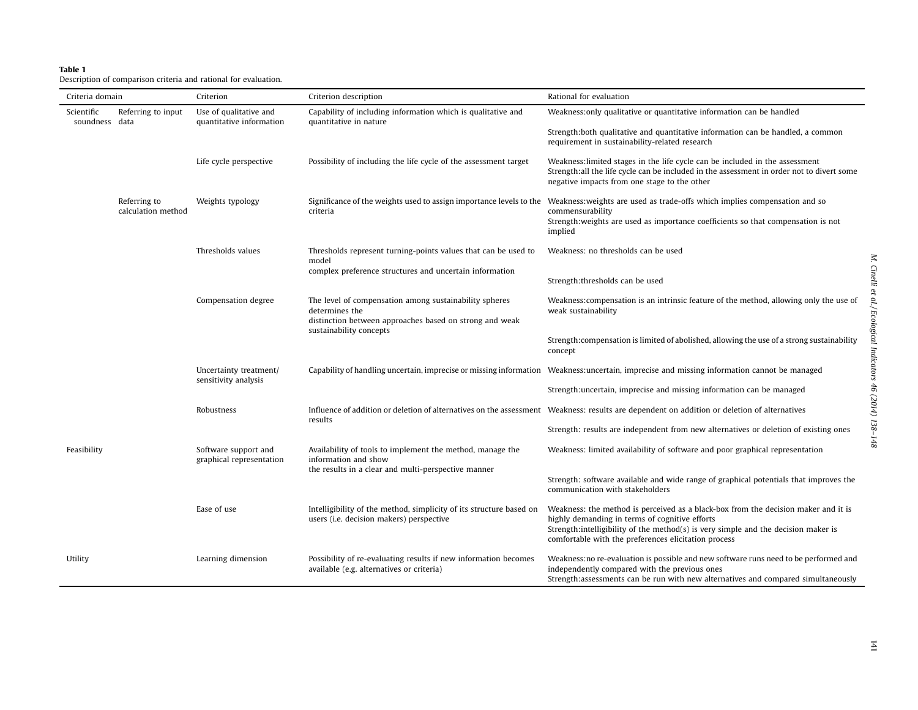## <span id="page-4-0"></span>Table 1

Description of comparison criteria and rational for evaluation.

| Criteria domain              |                                    | Criterion                                          | Criterion description                                                                                                               | Rational for evaluation                                                                                                                                                                                                                                                                 |  |  |
|------------------------------|------------------------------------|----------------------------------------------------|-------------------------------------------------------------------------------------------------------------------------------------|-----------------------------------------------------------------------------------------------------------------------------------------------------------------------------------------------------------------------------------------------------------------------------------------|--|--|
| Scientific<br>soundness data | Referring to input                 | Use of qualitative and<br>quantitative information | Capability of including information which is qualitative and<br>quantitative in nature                                              | Weakness: only qualitative or quantitative information can be handled<br>Strength: both qualitative and quantitative information can be handled, a common<br>requirement in sustainability-related research                                                                             |  |  |
|                              |                                    | Life cycle perspective                             | Possibility of including the life cycle of the assessment target                                                                    | Weakness: limited stages in the life cycle can be included in the assessment<br>Strength: all the life cycle can be included in the assessment in order not to divert some<br>negative impacts from one stage to the other                                                              |  |  |
|                              | Referring to<br>calculation method | Weights typology                                   | criteria                                                                                                                            | Significance of the weights used to assign importance levels to the Weakness: weights are used as trade-offs which implies compensation and so<br>commensurability<br>Strength: weights are used as importance coefficients so that compensation is not<br>implied                      |  |  |
|                              |                                    | Thresholds values                                  | Thresholds represent turning-points values that can be used to<br>model                                                             | Weakness: no thresholds can be used                                                                                                                                                                                                                                                     |  |  |
|                              |                                    |                                                    | complex preference structures and uncertain information                                                                             | Strength:thresholds can be used                                                                                                                                                                                                                                                         |  |  |
|                              |                                    | Compensation degree                                | The level of compensation among sustainability spheres<br>determines the<br>distinction between approaches based on strong and weak | Weakness: compensation is an intrinsic feature of the method, allowing only the use of<br>weak sustainability                                                                                                                                                                           |  |  |
|                              |                                    |                                                    | sustainability concepts                                                                                                             | Strength: compensation is limited of abolished, allowing the use of a strong sustainability<br>concept                                                                                                                                                                                  |  |  |
|                              |                                    | Uncertainty treatment/<br>sensitivity analysis     |                                                                                                                                     | Capability of handling uncertain, imprecise or missing information Weakness: uncertain, imprecise and missing information cannot be managed                                                                                                                                             |  |  |
|                              |                                    |                                                    |                                                                                                                                     | Strength: uncertain, imprecise and missing information can be managed                                                                                                                                                                                                                   |  |  |
|                              |                                    | Robustness                                         | results                                                                                                                             | Influence of addition or deletion of alternatives on the assessment Weakness: results are dependent on addition or deletion of alternatives                                                                                                                                             |  |  |
|                              |                                    |                                                    |                                                                                                                                     | Strength: results are independent from new alternatives or deletion of existing ones                                                                                                                                                                                                    |  |  |
| Feasibility                  |                                    | Software support and<br>graphical representation   | Availability of tools to implement the method, manage the<br>information and show                                                   | Weakness: limited availability of software and poor graphical representation                                                                                                                                                                                                            |  |  |
|                              |                                    |                                                    | the results in a clear and multi-perspective manner                                                                                 | Strength: software available and wide range of graphical potentials that improves the<br>communication with stakeholders                                                                                                                                                                |  |  |
|                              |                                    | Ease of use                                        | Intelligibility of the method, simplicity of its structure based on<br>users (i.e. decision makers) perspective                     | Weakness: the method is perceived as a black-box from the decision maker and it is<br>highly demanding in terms of cognitive efforts<br>Strength: intelligibility of the method( $s$ ) is very simple and the decision maker is<br>comfortable with the preferences elicitation process |  |  |
| Utility                      |                                    | Learning dimension                                 | Possibility of re-evaluating results if new information becomes<br>available (e.g. alternatives or criteria)                        | Weakness: no re-evaluation is possible and new software runs need to be performed and<br>independently compared with the previous ones<br>Strength: assessments can be run with new alternatives and compared simultaneously                                                            |  |  |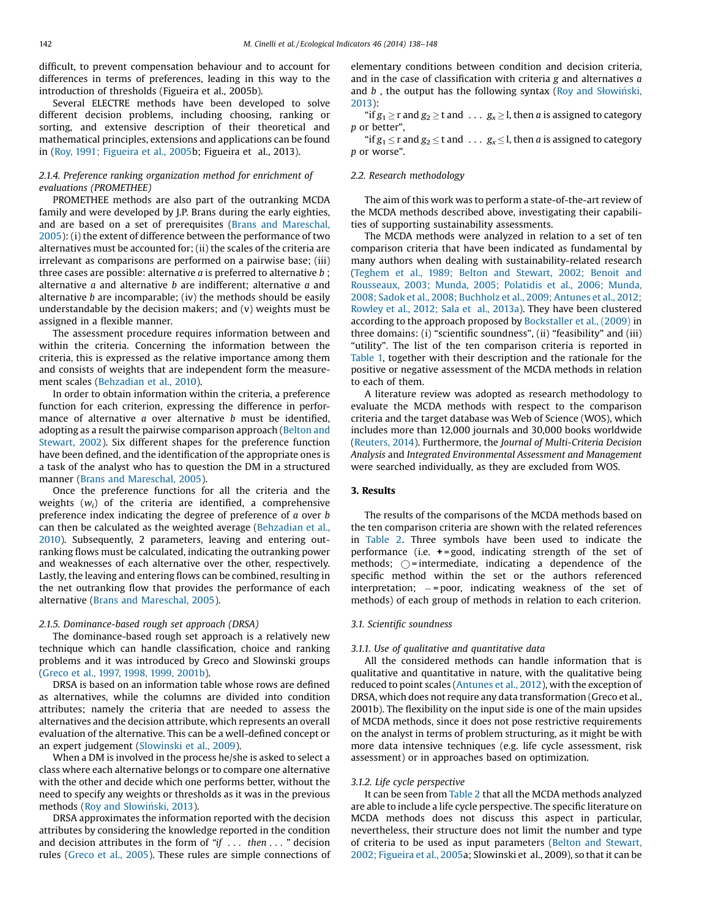<span id="page-5-0"></span>difficult, to prevent compensation behaviour and to account for differences in terms of preferences, leading in this way to the introduction of thresholds (Figueira et al., 2005b).

Several ELECTRE methods have been developed to solve different decision problems, including choosing, ranking or sorting, and extensive description of their theoretical and mathematical principles, extensions and applications can be found in (Roy, 1991; [Figueira](#page-11-0) et al., 2005b; Figueira et al., 2013).

# 2.1.4. Preference ranking organization method for enrichment of evaluations (PROMETHEE)

PROMETHEE methods are also part of the outranking MCDA family and were developed by J.P. Brans during the early eighties, and are based on a set of prerequisites (Brans and [Mareschal,](#page-10-0) [2005](#page-10-0)): (i) the extent of difference between the performance of two alternatives must be accounted for; (ii) the scales of the criteria are irrelevant as comparisons are performed on a pairwise base; (iii) three cases are possible: alternative  $a$  is preferred to alternative  $b$ ; alternative  $a$  and alternative  $b$  are indifferent; alternative  $a$  and alternative b are incomparable; (iv) the methods should be easily understandable by the decision makers; and (v) weights must be assigned in a flexible manner.

The assessment procedure requires information between and within the criteria. Concerning the information between the criteria, this is expressed as the relative importance among them and consists of weights that are independent form the measurement scales ([Behzadian](#page-10-0) et al., 2010).

In order to obtain information within the criteria, a preference function for each criterion, expressing the difference in performance of alternative *a* over alternative *b* must be identified, adopting as a result the pairwise comparison approach [\(Belton](#page-10-0) and [Stewart,](#page-10-0) 2002). Six different shapes for the preference function have been defined, and the identification of the appropriate ones is a task of the analyst who has to question the DM in a structured manner (Brans and [Mareschal,](#page-10-0) 2005).

Once the preference functions for all the criteria and the weights  $(w_i)$  of the criteria are identified, a comprehensive preference index indicating the degree of preference of a over b can then be calculated as the weighted average ([Behzadian](#page-10-0) et al., [2010](#page-10-0)). Subsequently, 2 parameters, leaving and entering outranking flows must be calculated, indicating the outranking power and weaknesses of each alternative over the other, respectively. Lastly, the leaving and entering flows can be combined, resulting in the net outranking flow that provides the performance of each alternative (Brans and [Mareschal,](#page-10-0) 2005).

# 2.1.5. Dominance-based rough set approach (DRSA)

The dominance-based rough set approach is a relatively new technique which can handle classification, choice and ranking problems and it was introduced by Greco and Slowinski groups (Greco et al., 1997, 1998, 1999, [2001b\)](#page-10-0).

DRSA is based on an information table whose rows are defined as alternatives, while the columns are divided into condition attributes; namely the criteria that are needed to assess the alternatives and the decision attribute, which represents an overall evaluation of the alternative. This can be a well-defined concept or an expert judgement [\(Slowinski](#page-11-0) et al., 2009).

When a DM is involved in the process he/she is asked to select a class where each alternative belongs or to compare one alternative with the other and decide which one performs better, without the need to specify any weights or thresholds as it was in the previous methods (Roy and Słowiński, 2013).

DRSA approximates the information reported with the decision attributes by considering the knowledge reported in the condition and decision attributes in the form of "if . . . then . . . " decision rules ([Greco](#page-10-0) et al., 2005). These rules are simple connections of elementary conditions between condition and decision criteria, and in the case of classification with criteria g and alternatives a and  $b$ , the output has the following syntax (Roy and Słowiński, [2013](#page-11-0)):

"if  $g_1 \ge r$  and  $g_2 \ge t$  and  $\ldots g_x \ge 1$ , then a is assigned to category p or better",

"if  $g_1 \le r$  and  $g_2 \le t$  and  $\ldots g_x \le l$ , then a is assigned to category p or worse".

#### 2.2. Research methodology

The aim of this work was to perform a state-of-the-art review of the MCDA methods described above, investigating their capabilities of supporting sustainability assessments.

The MCDA methods were analyzed in relation to a set of ten comparison criteria that have been indicated as fundamental by many authors when dealing with sustainability-related research (Teghem et al., 1989; Belton and [Stewart,](#page-11-0) 2002; Benoit and [Rousseaux,](#page-11-0) 2003; Munda, 2005; Polatidis et al., 2006; Munda, 2008; Sadok et al., 2008; [Buchholz](#page-11-0) et al., 2009; Antunes et al., 2012; [Rowley](#page-11-0) et al., 2012; Sala et al., 2013a). They have been clustered according to the approach proposed by [Bockstaller](#page-10-0) et al., (2009) in three domains: (i) "scientific soundness", (ii) "feasibility" and (iii) "utility". The list of the ten comparison criteria is reported in [Table](#page-4-0) 1, together with their description and the rationale for the positive or negative assessment of the MCDA methods in relation to each of them.

A literature review was adopted as research methodology to evaluate the MCDA methods with respect to the comparison criteria and the target database was Web of Science (WOS), which includes more than 12,000 journals and 30,000 books worldwide ([Reuters,](#page-11-0) 2014). Furthermore, the Journal of Multi-Criteria Decision Analysis and Integrated Environmental Assessment and Management were searched individually, as they are excluded from WOS.

# 3. Results

The results of the comparisons of the MCDA methods based on the ten comparison criteria are shown with the related references in [Table](#page-6-0) 2. Three symbols have been used to indicate the performance (i.e. + = good, indicating strength of the set of methods;  $\bigcirc$  = intermediate, indicating a dependence of the specific method within the set or the authors referenced interpretation;  $-$ =poor, indicating weakness of the set of methods) of each group of methods in relation to each criterion.

# 3.1. Scientific soundness

#### 3.1.1. Use of qualitative and quantitative data

All the considered methods can handle information that is qualitative and quantitative in nature, with the qualitative being reduced to point scales ([Antunes](#page-10-0) et al., 2012), with the exception of DRSA, which does not require any data transformation (Greco et al., 2001b). The flexibility on the input side is one of the main upsides of MCDA methods, since it does not pose restrictive requirements on the analyst in terms of problem structuring, as it might be with more data intensive techniques (e.g. life cycle assessment, risk assessment) or in approaches based on optimization.

# 3.1.2. Life cycle perspective

It can be seen from [Table](#page-6-0) 2 that all the MCDA methods analyzed are able to include a life cycle perspective. The specific literature on MCDA methods does not discuss this aspect in particular, nevertheless, their structure does not limit the number and type of criteria to be used as input parameters (Belton and [Stewart,](#page-10-0) 2002; [Figueira](#page-10-0) et al., 2005a; Slowinski et al., 2009), so that it can be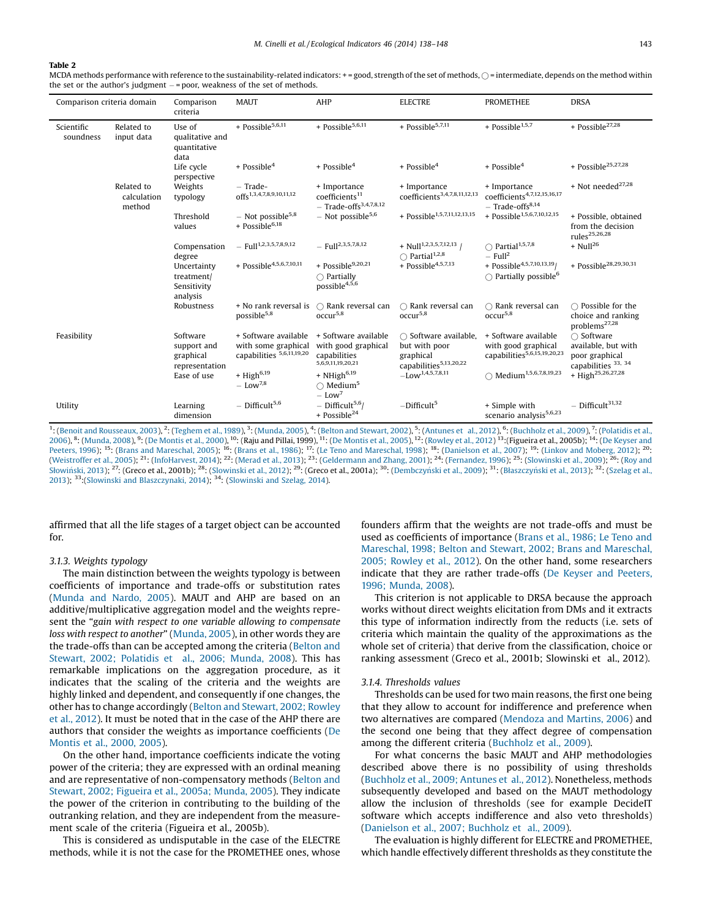# <span id="page-6-0"></span>Table 2

MCDA methods performance with reference to the sustainability-related indicators: += good, strength of the set of methods,  $\bigcirc$  = intermediate, depends on the method within the set or the author's judgment  $-$  = poor, weakness of the set of methods.

| Comparison criteria domain |                                     | Comparison<br>criteria                                                | <b>MAUT</b>                                                                                          | AHP                                                                                                                    | <b>ELECTRE</b>                                                                                                             | <b>PROMETHEE</b>                                                                                                                       | <b>DRSA</b>                                                                                                            |
|----------------------------|-------------------------------------|-----------------------------------------------------------------------|------------------------------------------------------------------------------------------------------|------------------------------------------------------------------------------------------------------------------------|----------------------------------------------------------------------------------------------------------------------------|----------------------------------------------------------------------------------------------------------------------------------------|------------------------------------------------------------------------------------------------------------------------|
| Scientific<br>soundness    | Related to<br>input data            | Use of<br>qualitative and<br>quantitative<br>data                     | + Possible <sup>5,6,11</sup>                                                                         | + Possible <sup>5,6,11</sup>                                                                                           | $+$ Possible <sup>5,7,11</sup>                                                                                             | + Possible <sup>1,5,7</sup>                                                                                                            | + Possible <sup>27,28</sup>                                                                                            |
|                            |                                     | Life cycle<br>perspective                                             | $+$ Possible <sup>4</sup>                                                                            | $+$ Possible <sup>4</sup>                                                                                              | $+$ Possible <sup>4</sup>                                                                                                  | + Possible <sup>4</sup>                                                                                                                | + Possible <sup>25,27,28</sup>                                                                                         |
|                            | Related to<br>calculation<br>method | Weights<br>typology                                                   | $-$ Trade-<br>offs <sup>1,3,4,7,8,9,10,11,12</sup>                                                   | + Importance<br>coefficients <sup>11</sup><br>$-$ Trade-offs <sup>3,4,7,8,12</sup>                                     | + Importance<br>coefficients <sup>3,4,7,8,11,12,13</sup>                                                                   | + Importance<br>coefficients <sup>4,7,12,15,16,17</sup><br>$-$ Trade-offs <sup>8,14</sup>                                              | + Not needed <sup>27,28</sup>                                                                                          |
|                            |                                     | Threshold<br>values                                                   | $-$ Not possible <sup>5,8</sup><br>$+$ Possible <sup>6,18</sup>                                      | $-$ Not possible <sup>5,6</sup>                                                                                        | + Possible <sup>1,5,7,11,12,13,15</sup>                                                                                    | + Possible <sup>1,5,6,7,10,12,15</sup>                                                                                                 | + Possible, obtained<br>from the decision<br>rules <sup>25,26,28</sup>                                                 |
|                            |                                     | Compensation<br>degree                                                | $-$ Full <sup>1,2,3,5,7,8,9,12</sup>                                                                 | $-$ Full <sup>2,3,5,7,8,12</sup>                                                                                       | + Null <sup>1,2,3,5,7,12,13</sup> /<br>$\bigcirc$ Partial <sup>1,2,8</sup>                                                 | $\bigcirc$ Partial <sup>1,5,7,8</sup><br>$-$ Full <sup>2</sup>                                                                         | $+$ Null <sup>26</sup>                                                                                                 |
|                            |                                     | Uncertainty<br>treatment/<br>Sensitivity<br>analysis                  | + Possible <sup>4,5,6,7,10,11</sup>                                                                  | + Possible <sup>9,20,21</sup><br>$\bigcirc$ Partially<br>possible4,5,6                                                 | $+$ Possible <sup>4,5,7,13</sup>                                                                                           | + Possible <sup>4,5,7,10,13,19</sup> /<br>$\bigcap$ Partially possible <sup>6</sup>                                                    | + Possible <sup>28,29,30,31</sup>                                                                                      |
|                            |                                     | Robustness                                                            | + No rank reversal is<br>possible <sup>5,8</sup>                                                     | $\bigcap$ Rank reversal can<br>occur <sup>5,8</sup>                                                                    | $\bigcap$ Rank reversal can<br>occur <sup>5,8</sup>                                                                        | $\bigcap$ Rank reversal can<br>occur <sup>5,8</sup>                                                                                    | $\bigcap$ Possible for the<br>choice and ranking<br>problems <sup>27,28</sup>                                          |
| Feasibility                |                                     | Software<br>support and<br>graphical<br>representation<br>Ease of use | + Software available<br>with some graphical<br>capabilities 5,6,11,19,20<br>$+$ High <sup>6,19</sup> | + Software available<br>with good graphical<br>capabilities<br>5,6,9,11,19,20,21<br>+ NHigh <sup>6,19</sup>            | $\bigcap$ Software available,<br>but with poor<br>graphical<br>capabilities <sup>5,13,20,22</sup><br>$-Low^{1,4,5,7,8,11}$ | + Software available<br>with good graphical<br>capabilities <sup>5,6,15,19,20,23</sup><br>$\bigcirc$ Medium <sup>1,5,6,7,8,19,23</sup> | ◯ Software<br>available, but with<br>poor graphical<br>capabilities <sup>33, 34</sup><br>+ High <sup>25,26,27,28</sup> |
| Utility                    |                                     | Learning<br>dimension                                                 | $-$ Low <sup>7,8</sup><br>$-$ Difficult <sup>5,6</sup>                                               | $\bigcirc$ Medium <sup>5</sup><br>$-$ Low <sup>7</sup><br>$-$ Difficult <sup>5,6</sup> /<br>$+$ Possible <sup>24</sup> | $-Difficult5$                                                                                                              | + Simple with<br>scenario analysis <sup>5,6,23</sup>                                                                                   | $-$ Difficult <sup>31,32</sup>                                                                                         |

<sup>1</sup>: (Benoit and [Rousseaux,](#page-10-0) 2003), <sup>2</sup>: (Teghem et al., 1989), <sup>3</sup>: [\(Munda,](#page-11-0) 2005), <sup>4</sup>: (Belton and [Stewart,](#page-10-0) 2002), <sup>5</sup>: ([Antunes](#page-10-0) et al., 2012), <sup>6</sup>: ([Buchholz](#page-10-0) et al., 2009), <sup>7</sup>: [\(Polatidis](#page-11-0) et al., 2005); <sup>12</sup>: (De Monti [Peeters,](#page-10-0) 1996); <sup>15</sup>: (Brans and [Mareschal,](#page-11-0) 2005); <sup>16</sup>: ([Brans](#page-10-0) et al., 1986); <sup>17</sup>: (Le Teno and Mareschal, 1998); <sup>18</sup>: ([Danielson](#page-10-0) et al., 2007); <sup>19</sup>: (Linkov and [Moberg,](#page-11-0) 2012); <sup>20</sup>: ([Weistroffer](#page-11-0) et al., 2005); <sup>21</sup>: [\(InfoHarvest,](#page-10-0) 2014); <sup>22</sup>: [\(Merad](#page-11-0) et al., 2013); <sup>23</sup>: [\(Geldermann](#page-10-0) and Zhang, 2001); <sup>24</sup>: ([Fernandez,](#page-10-0) 1996); <sup>25</sup>: [\(Slowinski](#page-11-0) et al., 2009); <sup>26</sup>: [\(Roy](#page-11-0) and Słowiński, 2013); <sup>27</sup>: (Greco et al., 2001b); <sup>28</sup>: [\(Slowinski](#page-11-0) et al., 2012); <sup>29</sup>: (Greco et al., 2001a); <sup>30</sup>: (Dembczyński et al., 2009); <sup>31</sup>: (Błaszczyński et al., 2013); <sup>32</sup>: ([Szelag](#page-11-0) et al., [2013](#page-11-0)); 33:(Slowinski and [Blaszczynaki,](#page-11-0) 2014); 34: ([Slowinski](#page-11-0) and Szelag, 2014).

affirmed that all the life stages of a target object can be accounted for.

#### 3.1.3. Weights typology

The main distinction between the weights typology is between coefficients of importance and trade-offs or substitution rates ([Munda](#page-11-0) and Nardo, 2005). MAUT and AHP are based on an additive/multiplicative aggregation model and the weights represent the "gain with respect to one variable allowing to compensate loss with respect to another" [\(Munda,](#page-11-0) 2005), in other words they are the trade-offs than can be accepted among the criteria ([Belton](#page-10-0) and Stewart, 2002; [Polatidis](#page-10-0) et al., 2006; Munda, 2008). This has remarkable implications on the aggregation procedure, as it indicates that the scaling of the criteria and the weights are highly linked and dependent, and consequently if one changes, the other has to change accordingly (Belton and [Stewart,](#page-10-0) 2002; Rowley et al., [2012\)](#page-10-0). It must be noted that in the case of the AHP there are authors that consider the weights as importance coefficients [\(De](#page-10-0) [Montis](#page-10-0) et al., 2000, 2005).

On the other hand, importance coefficients indicate the voting power of the criteria; they are expressed with an ordinal meaning and are representative of non-compensatory methods ([Belton](#page-10-0) and Stewart, 2002; [Figueira](#page-10-0) et al., 2005a; Munda, 2005). They indicate the power of the criterion in contributing to the building of the outranking relation, and they are independent from the measurement scale of the criteria (Figueira et al., 2005b).

This is considered as undisputable in the case of the ELECTRE methods, while it is not the case for the PROMETHEE ones, whose founders affirm that the weights are not trade-offs and must be used as coefficients of importance (Brans et al., [1986;](#page-10-0) Le Teno and Mareschal, 1998; Belton and Stewart, 2002; Brans and [Mareschal,](#page-10-0) 2005; [Rowley](#page-10-0) et al., 2012). On the other hand, some researchers indicate that they are rather trade-offs (De Keyser and [Peeters,](#page-10-0) 1996; [Munda,](#page-10-0) 2008).

This criterion is not applicable to DRSA because the approach works without direct weights elicitation from DMs and it extracts this type of information indirectly from the reducts (i.e. sets of criteria which maintain the quality of the approximations as the whole set of criteria) that derive from the classification, choice or ranking assessment (Greco et al., 2001b; Slowinski et al., 2012).

### 3.1.4. Thresholds values

Thresholds can be used for two main reasons, the first one being that they allow to account for indifference and preference when two alternatives are compared [\(Mendoza](#page-11-0) and Martins, 2006) and the second one being that they affect degree of compensation among the different criteria ([Buchholz](#page-10-0) et al., 2009).

For what concerns the basic MAUT and AHP methodologies described above there is no possibility of using thresholds ([Buchholz](#page-10-0) et al., 2009; Antunes et al., 2012). Nonetheless, methods subsequently developed and based on the MAUT methodology allow the inclusion of thresholds (see for example DecideIT software which accepts indifference and also veto thresholds) ([Danielson](#page-10-0) et al., 2007; Buchholz et al., 2009).

The evaluation is highly different for ELECTRE and PROMETHEE, which handle effectively different thresholds as they constitute the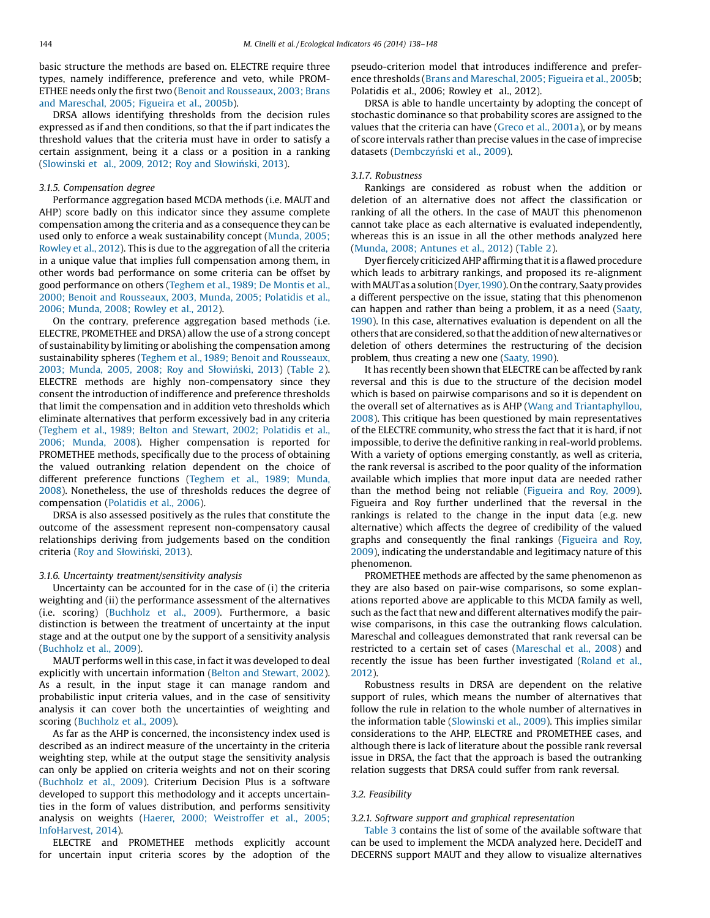basic structure the methods are based on. ELECTRE require three types, namely indifference, preference and veto, while PROM-ETHEE needs only the first two (Benoit and [Rousseaux,](#page-10-0) 2003; Brans and [Mareschal,](#page-10-0) 2005; Figueira et al., 2005b).

DRSA allows identifying thresholds from the decision rules expressed as if and then conditions, so that the if part indicates the threshold values that the criteria must have in order to satisfy a certain assignment, being it a class or a position in a ranking ([Slowinski](#page-11-0) et al., 2009, 2012; Roy and Słowinski, 2013).

#### 3.1.5. Compensation degree

Performance aggregation based MCDA methods (i.e. MAUT and AHP) score badly on this indicator since they assume complete compensation among the criteria and as a consequence they can be used only to enforce a weak sustainability concept [\(Munda,](#page-11-0) 2005; [Rowley](#page-11-0) et al., 2012). This is due to the aggregation of all the criteria in a unique value that implies full compensation among them, in other words bad performance on some criteria can be offset by good performance on others [\(Teghem](#page-11-0) et al., 1989; De Montis et al., 2000; Benoit and [Rousseaux,](#page-11-0) 2003, Munda, 2005; Polatidis et al., 2006; [Munda,](#page-11-0) 2008; Rowley et al., 2012).

On the contrary, preference aggregation based methods (i.e. ELECTRE, PROMETHEE and DRSA) allow the use of a strong concept of sustainability by limiting or abolishing the compensation among sustainability spheres (Teghem et al., 1989; Benoit and [Rousseaux,](#page-11-0) 2003; Munda, 2005, 2008; Roy and Sł[owinski,](#page-11-0) 2013) ([Table](#page-6-0) 2). ELECTRE methods are highly non-compensatory since they consent the introduction of indifference and preference thresholds that limit the compensation and in addition veto thresholds which eliminate alternatives that perform excessively bad in any criteria (Teghem et al., 1989; Belton and Stewart, 2002; [Polatidis](#page-11-0) et al., 2006; [Munda,](#page-11-0) 2008). Higher compensation is reported for PROMETHEE methods, specifically due to the process of obtaining the valued outranking relation dependent on the choice of different preference functions ([Teghem](#page-11-0) et al., 1989; Munda, [2008](#page-11-0)). Nonetheless, the use of thresholds reduces the degree of compensation ([Polatidis](#page-11-0) et al., 2006).

DRSA is also assessed positively as the rules that constitute the outcome of the assessment represent non-compensatory causal relationships deriving from judgements based on the condition criteria (Roy and Sł[owinski,](#page-11-0) 2013).

## 3.1.6. Uncertainty treatment/sensitivity analysis

Uncertainty can be accounted for in the case of (i) the criteria weighting and (ii) the performance assessment of the alternatives (i.e. scoring) [\(Buchholz](#page-10-0) et al., 2009). Furthermore, a basic distinction is between the treatment of uncertainty at the input stage and at the output one by the support of a sensitivity analysis ([Buchholz](#page-10-0) et al., 2009).

MAUT performs well in this case, in fact it was developed to deal explicitly with uncertain information (Belton and [Stewart,](#page-10-0) 2002). As a result, in the input stage it can manage random and probabilistic input criteria values, and in the case of sensitivity analysis it can cover both the uncertainties of weighting and scoring [\(Buchholz](#page-10-0) et al., 2009).

As far as the AHP is concerned, the inconsistency index used is described as an indirect measure of the uncertainty in the criteria weighting step, while at the output stage the sensitivity analysis can only be applied on criteria weights and not on their scoring ([Buchholz](#page-10-0) et al., 2009). Criterium Decision Plus is a software developed to support this methodology and it accepts uncertainties in the form of values distribution, and performs sensitivity analysis on weights (Haerer, 2000; [Weistroffer](#page-10-0) et al., 2005; [InfoHarvest,](#page-10-0) 2014).

ELECTRE and PROMETHEE methods explicitly account for uncertain input criteria scores by the adoption of the pseudo-criterion model that introduces indifference and preference thresholds (Brans and [Mareschal,](#page-10-0) 2005; Figueira et al., 2005b; Polatidis et al., 2006; Rowley et al., 2012).

DRSA is able to handle uncertainty by adopting the concept of stochastic dominance so that probability scores are assigned to the values that the criteria can have (Greco et al., [2001a\)](#page-10-0), or by means of score intervals rather than precise values in the case of imprecise datasets (Dembczyński et al., 2009).

# 3.1.7. Robustness

Rankings are considered as robust when the addition or deletion of an alternative does not affect the classification or ranking of all the others. In the case of MAUT this phenomenon cannot take place as each alternative is evaluated independently, whereas this is an issue in all the other methods analyzed here (Munda, 2008; [Antunes](#page-11-0) et al., 2012) [\(Table](#page-6-0) 2).

Dyer fiercely criticized AHP affirming that it is a flawed procedure which leads to arbitrary rankings, and proposed its re-alignment with MAUT as a solution (Dyer, 1990). On the contrary, Saaty provides a different perspective on the issue, stating that this phenomenon can happen and rather than being a problem, it as a need ([Saaty,](#page-11-0) [1990](#page-11-0)). In this case, alternatives evaluation is dependent on all the others that are considered, sothatthe addition ofnewalternatives or deletion of others determines the restructuring of the decision problem, thus creating a new one ([Saaty,](#page-11-0) 1990).

It has recently been shown that ELECTRE can be affected by rank reversal and this is due to the structure of the decision model which is based on pairwise comparisons and so it is dependent on the overall set of alternatives as is AHP (Wang and [Triantaphyllou,](#page-11-0) [2008](#page-11-0)). This critique has been questioned by main representatives of the ELECTRE community, who stress the fact that it is hard, if not impossible, to derive the definitive ranking in real-world problems. With a variety of options emerging constantly, as well as criteria, the rank reversal is ascribed to the poor quality of the information available which implies that more input data are needed rather than the method being not reliable ([Figueira](#page-10-0) and Roy, 2009). Figueira and Roy further underlined that the reversal in the rankings is related to the change in the input data (e.g. new alternative) which affects the degree of credibility of the valued graphs and consequently the final rankings ([Figueira](#page-10-0) and Roy, [2009](#page-10-0)), indicating the understandable and legitimacy nature of this phenomenon.

PROMETHEE methods are affected by the same phenomenon as they are also based on pair-wise comparisons, so some explanations reported above are applicable to this MCDA family as well, such as the fact that new and different alternatives modify the pairwise comparisons, in this case the outranking flows calculation. Mareschal and colleagues demonstrated that rank reversal can be restricted to a certain set of cases ([Mareschal](#page-11-0) et al., 2008) and recently the issue has been further investigated [\(Roland](#page-11-0) et al., [2012](#page-11-0)).

Robustness results in DRSA are dependent on the relative support of rules, which means the number of alternatives that follow the rule in relation to the whole number of alternatives in the information table ([Slowinski](#page-11-0) et al., 2009). This implies similar considerations to the AHP, ELECTRE and PROMETHEE cases, and although there is lack of literature about the possible rank reversal issue in DRSA, the fact that the approach is based the outranking relation suggests that DRSA could suffer from rank reversal.

# 3.2. Feasibility

#### 3.2.1. Software support and graphical representation

[Table](#page-8-0) 3 contains the list of some of the available software that can be used to implement the MCDA analyzed here. DecideIT and DECERNS support MAUT and they allow to visualize alternatives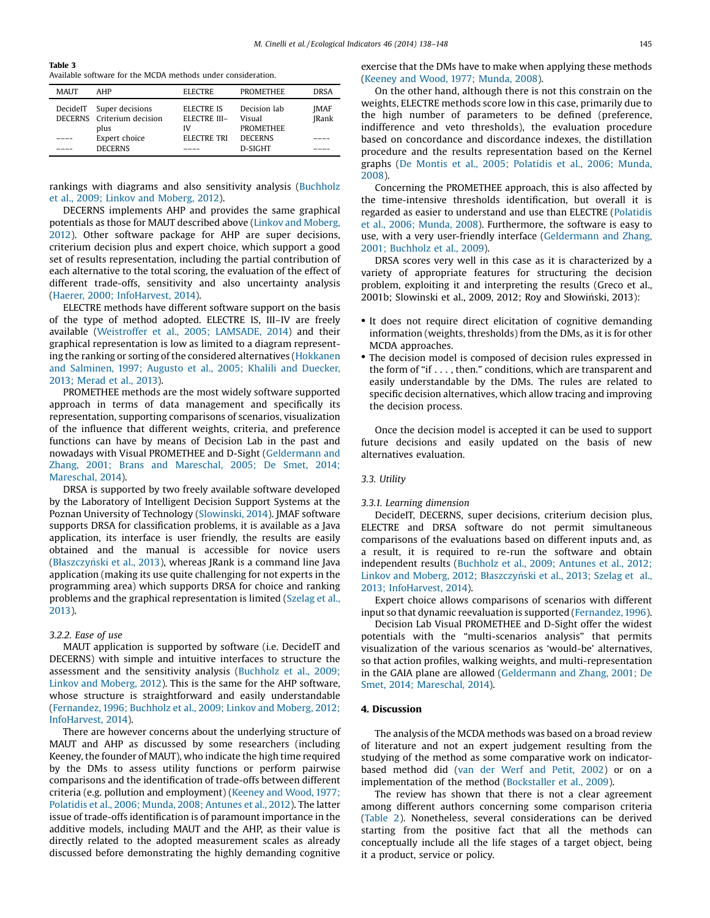<span id="page-8-0"></span>

Available software for the MCDA methods under consideration.

| <b>MAIIT</b> | AHP                                                   | <b>ELECTRE</b>                          | <b>PROMETHEE</b>                           | <b>DRSA</b>                 |
|--------------|-------------------------------------------------------|-----------------------------------------|--------------------------------------------|-----------------------------|
| DecideIT     | Super decisions<br>DECERNS Criterium decision<br>plus | ELECTRE IS<br><b>FLECTRE III-</b><br>IV | Decision lab<br>Visual<br><b>PROMETHEE</b> | <b>IMAF</b><br><b>IRank</b> |
|              | Expert choice                                         | <b>FLECTRE TRI</b>                      | <b>DECERNS</b>                             |                             |
|              | <b>DECERNS</b>                                        |                                         | D-SIGHT                                    |                             |

rankings with diagrams and also sensitivity analysis [\(Buchholz](#page-10-0) et al., 2009; Linkov and [Moberg,](#page-10-0) 2012).

DECERNS implements AHP and provides the same graphical potentials as those for MAUT described above (Linkov and [Moberg,](#page-11-0) [2012](#page-11-0)). Other software package for AHP are super decisions, criterium decision plus and expert choice, which support a good set of results representation, including the partial contribution of each alternative to the total scoring, the evaluation of the effect of different trade-offs, sensitivity and also uncertainty analysis (Haerer, 2000; [InfoHarvest,](#page-10-0) 2014).

ELECTRE methods have different software support on the basis of the type of method adopted. ELECTRE IS, III–IV are freely available ([Weistroffer](#page-11-0) et al., 2005; LAMSADE, 2014) and their graphical representation is low as limited to a diagram representing the ranking or sorting of the considered alternatives ([Hokkanen](#page-10-0) and [Salminen,](#page-10-0) 1997; Augusto et al., 2005; Khalili and Duecker, 2013; [Merad](#page-10-0) et al., 2013).

PROMETHEE methods are the most widely software supported approach in terms of data management and specifically its representation, supporting comparisons of scenarios, visualization of the influence that different weights, criteria, and preference functions can have by means of Decision Lab in the past and nowadays with Visual PROMETHEE and D-Sight ([Geldermann](#page-10-0) and Zhang, 2001; Brans and [Mareschal,](#page-10-0) 2005; De Smet, 2014; [Mareschal,](#page-10-0) 2014).

DRSA is supported by two freely available software developed by the Laboratory of Intelligent Decision Support Systems at the Poznan University of Technology ([Slowinski,](#page-11-0) 2014). JMAF software supports DRSA for classification problems, it is available as a Java application, its interface is user friendly, the results are easily obtained and the manual is accessible for novice users (Błaszczyński et al., 2013), whereas JRank is a command line Java application (making its use quite challenging for not experts in the programming area) which supports DRSA for choice and ranking problems and the graphical representation is limited [\(Szelag](#page-11-0) et al., [2013](#page-11-0)).

## 3.2.2. Ease of use

MAUT application is supported by software (i.e. DecideIT and DECERNS) with simple and intuitive interfaces to structure the assessment and the sensitivity analysis ([Buchholz](#page-10-0) et al., 2009; Linkov and [Moberg,](#page-10-0) 2012). This is the same for the AHP software, whose structure is straightforward and easily understandable ([Fernandez,](#page-10-0) 1996; Buchholz et al., 2009; Linkov and Moberg, 2012; [InfoHarvest,](#page-10-0) 2014).

There are however concerns about the underlying structure of MAUT and AHP as discussed by some researchers (including Keeney, the founder of MAUT), who indicate the high time required by the DMs to assess utility functions or perform pairwise comparisons and the identification of trade-offs between different criteria (e.g. pollution and employment) [\(Keeney](#page-11-0) and Wood, 1977; [Polatidis](#page-11-0) et al., 2006; Munda, 2008; Antunes et al., 2012). The latter issue of trade-offs identification is of paramount importance in the additive models, including MAUT and the AHP, as their value is directly related to the adopted measurement scales as already discussed before demonstrating the highly demanding cognitive

exercise that the DMs have to make when applying these methods (Keeney and Wood, 1977; [Munda,](#page-11-0) 2008).

On the other hand, although there is not this constrain on the weights, ELECTRE methods score low in this case, primarily due to the high number of parameters to be defined (preference, indifference and veto thresholds), the evaluation procedure based on concordance and discordance indexes, the distillation procedure and the results representation based on the Kernel graphs (De Montis et al., 2005; [Polatidis](#page-10-0) et al., 2006; Munda, [2008](#page-10-0)).

Concerning the PROMETHEE approach, this is also affected by the time-intensive thresholds identification, but overall it is regarded as easier to understand and use than ELECTRE ([Polatidis](#page-11-0) et al., 2006; [Munda,](#page-11-0) 2008). Furthermore, the software is easy to use, with a very user-friendly interface [\(Geldermann](#page-10-0) and Zhang, 2001; [Buchholz](#page-10-0) et al., 2009).

DRSA scores very well in this case as it is characterized by a variety of appropriate features for structuring the decision problem, exploiting it and interpreting the results (Greco et al., 2001b; Slowinski et al., 2009, 2012; Roy and Słowinski, 2013):

- It does not require direct elicitation of cognitive demanding information (weights, thresholds) from the DMs, as it is for other MCDA approaches.
- The decision model is composed of decision rules expressed in the form of "if . . . , then." conditions, which are transparent and easily understandable by the DMs. The rules are related to specific decision alternatives, which allow tracing and improving the decision process.

Once the decision model is accepted it can be used to support future decisions and easily updated on the basis of new alternatives evaluation.

# 3.3. Utility

# 3.3.1. Learning dimension

DecideIT, DECERNS, super decisions, criterium decision plus, ELECTRE and DRSA software do not permit simultaneous comparisons of the evaluations based on different inputs and, as a result, it is required to re-run the software and obtain independent results ([Buchholz](#page-10-0) et al., 2009; Antunes et al., 2012; Linkov and Moberg, 2012; Błaszczyński et al., 2013; Szelag et al., 2013; [InfoHarvest,](#page-10-0) 2014).

Expert choice allows comparisons of scenarios with different input so that dynamic reevaluation is supported [\(Fernandez,1996](#page-10-0)).

Decision Lab Visual PROMETHEE and D-Sight offer the widest potentials with the "multi-scenarios analysis" that permits visualization of the various scenarios as 'would-be' alternatives, so that action profiles, walking weights, and multi-representation in the GAIA plane are allowed ([Geldermann](#page-10-0) and Zhang, 2001; De Smet, 2014; [Mareschal,](#page-10-0) 2014).

# 4. Discussion

The analysis of the MCDA methods was based on a broad review of literature and not an expert judgement resulting from the studying of the method as some comparative work on indicatorbased method did (van der Werf and [Petit,](#page-11-0) 2002) or on a implementation of the method [\(Bockstaller](#page-10-0) et al., 2009).

The review has shown that there is not a clear agreement among different authors concerning some comparison criteria ([Table](#page-6-0) 2). Nonetheless, several considerations can be derived starting from the positive fact that all the methods can conceptually include all the life stages of a target object, being it a product, service or policy.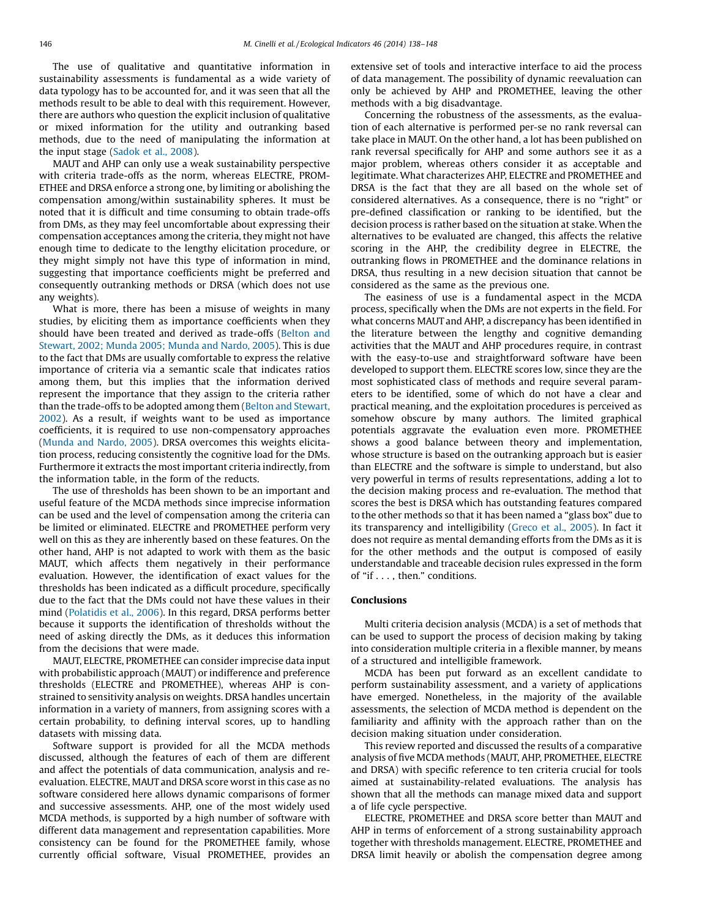The use of qualitative and quantitative information in sustainability assessments is fundamental as a wide variety of data typology has to be accounted for, and it was seen that all the methods result to be able to deal with this requirement. However, there are authors who question the explicit inclusion of qualitative or mixed information for the utility and outranking based methods, due to the need of manipulating the information at the input stage ([Sadok](#page-11-0) et al., 2008).

MAUT and AHP can only use a weak sustainability perspective with criteria trade-offs as the norm, whereas ELECTRE, PROM-ETHEE and DRSA enforce a strong one, by limiting or abolishing the compensation among/within sustainability spheres. It must be noted that it is difficult and time consuming to obtain trade-offs from DMs, as they may feel uncomfortable about expressing their compensation acceptances among the criteria, they might not have enough time to dedicate to the lengthy elicitation procedure, or they might simply not have this type of information in mind, suggesting that importance coefficients might be preferred and consequently outranking methods or DRSA (which does not use any weights).

What is more, there has been a misuse of weights in many studies, by eliciting them as importance coefficients when they should have been treated and derived as trade-offs [\(Belton](#page-10-0) and [Stewart,](#page-10-0) 2002; Munda 2005; Munda and Nardo, 2005). This is due to the fact that DMs are usually comfortable to express the relative importance of criteria via a semantic scale that indicates ratios among them, but this implies that the information derived represent the importance that they assign to the criteria rather than the trade-offs to be adopted among them (Belton and [Stewart,](#page-10-0) [2002](#page-10-0)). As a result, if weights want to be used as importance coefficients, it is required to use non-compensatory approaches ([Munda](#page-11-0) and Nardo, 2005). DRSA overcomes this weights elicitation process, reducing consistently the cognitive load for the DMs. Furthermore it extracts the most important criteria indirectly, from the information table, in the form of the reducts.

The use of thresholds has been shown to be an important and useful feature of the MCDA methods since imprecise information can be used and the level of compensation among the criteria can be limited or eliminated. ELECTRE and PROMETHEE perform very well on this as they are inherently based on these features. On the other hand, AHP is not adapted to work with them as the basic MAUT, which affects them negatively in their performance evaluation. However, the identification of exact values for the thresholds has been indicated as a difficult procedure, specifically due to the fact that the DMs could not have these values in their mind [\(Polatidis](#page-11-0) et al., 2006). In this regard, DRSA performs better because it supports the identification of thresholds without the need of asking directly the DMs, as it deduces this information from the decisions that were made.

MAUT, ELECTRE, PROMETHEE can consider imprecise data input with probabilistic approach (MAUT) or indifference and preference thresholds (ELECTRE and PROMETHEE), whereas AHP is constrained to sensitivity analysis on weights. DRSA handles uncertain information in a variety of manners, from assigning scores with a certain probability, to defining interval scores, up to handling datasets with missing data.

Software support is provided for all the MCDA methods discussed, although the features of each of them are different and affect the potentials of data communication, analysis and reevaluation. ELECTRE, MAUT and DRSA score worst in this case as no software considered here allows dynamic comparisons of former and successive assessments. AHP, one of the most widely used MCDA methods, is supported by a high number of software with different data management and representation capabilities. More consistency can be found for the PROMETHEE family, whose currently official software, Visual PROMETHEE, provides an extensive set of tools and interactive interface to aid the process of data management. The possibility of dynamic reevaluation can only be achieved by AHP and PROMETHEE, leaving the other methods with a big disadvantage.

Concerning the robustness of the assessments, as the evaluation of each alternative is performed per-se no rank reversal can take place in MAUT. On the other hand, a lot has been published on rank reversal specifically for AHP and some authors see it as a major problem, whereas others consider it as acceptable and legitimate. What characterizes AHP, ELECTRE and PROMETHEE and DRSA is the fact that they are all based on the whole set of considered alternatives. As a consequence, there is no "right" or pre-defined classification or ranking to be identified, but the decision process is rather based on the situation at stake. When the alternatives to be evaluated are changed, this affects the relative scoring in the AHP, the credibility degree in ELECTRE, the outranking flows in PROMETHEE and the dominance relations in DRSA, thus resulting in a new decision situation that cannot be considered as the same as the previous one.

The easiness of use is a fundamental aspect in the MCDA process, specifically when the DMs are not experts in the field. For what concerns MAUT and AHP, a discrepancy has been identified in the literature between the lengthy and cognitive demanding activities that the MAUT and AHP procedures require, in contrast with the easy-to-use and straightforward software have been developed to support them. ELECTRE scores low, since they are the most sophisticated class of methods and require several parameters to be identified, some of which do not have a clear and practical meaning, and the exploitation procedures is perceived as somehow obscure by many authors. The limited graphical potentials aggravate the evaluation even more. PROMETHEE shows a good balance between theory and implementation, whose structure is based on the outranking approach but is easier than ELECTRE and the software is simple to understand, but also very powerful in terms of results representations, adding a lot to the decision making process and re-evaluation. The method that scores the best is DRSA which has outstanding features compared to the other methods so that it has been named a "glass box" due to its transparency and intelligibility [\(Greco](#page-10-0) et al., 2005). In fact it does not require as mental demanding efforts from the DMs as it is for the other methods and the output is composed of easily understandable and traceable decision rules expressed in the form of "if . . . , then." conditions.

# Conclusions

Multi criteria decision analysis (MCDA) is a set of methods that can be used to support the process of decision making by taking into consideration multiple criteria in a flexible manner, by means of a structured and intelligible framework.

MCDA has been put forward as an excellent candidate to perform sustainability assessment, and a variety of applications have emerged. Nonetheless, in the majority of the available assessments, the selection of MCDA method is dependent on the familiarity and affinity with the approach rather than on the decision making situation under consideration.

This review reported and discussed the results of a comparative analysis of five MCDA methods (MAUT, AHP, PROMETHEE, ELECTRE and DRSA) with specific reference to ten criteria crucial for tools aimed at sustainability-related evaluations. The analysis has shown that all the methods can manage mixed data and support a of life cycle perspective.

ELECTRE, PROMETHEE and DRSA score better than MAUT and AHP in terms of enforcement of a strong sustainability approach together with thresholds management. ELECTRE, PROMETHEE and DRSA limit heavily or abolish the compensation degree among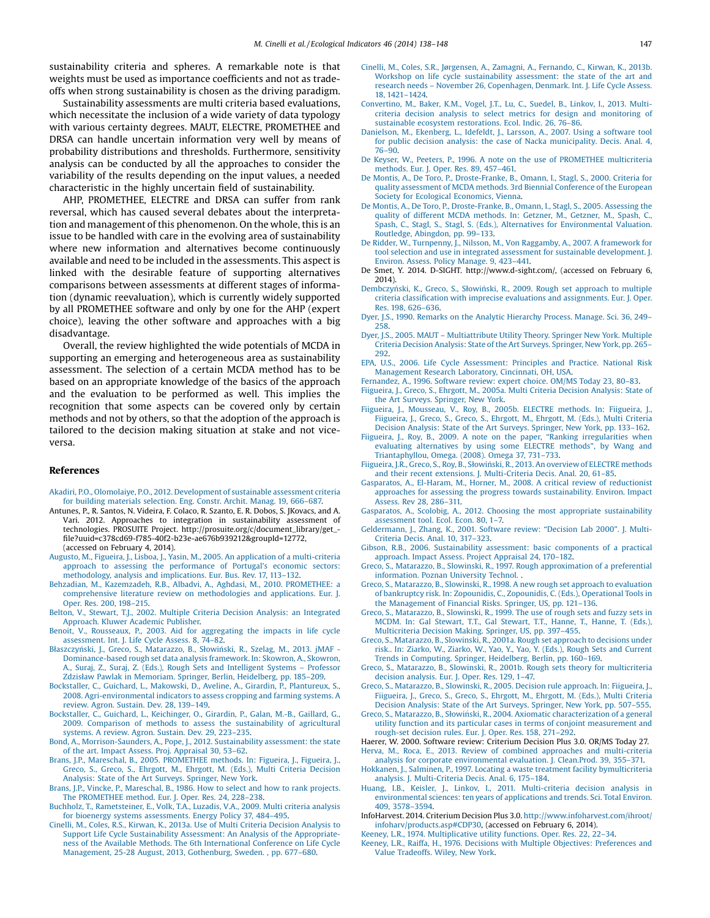<span id="page-10-0"></span>sustainability criteria and spheres. A remarkable note is that weights must be used as importance coefficients and not as tradeoffs when strong sustainability is chosen as the driving paradigm.

Sustainability assessments are multi criteria based evaluations, which necessitate the inclusion of a wide variety of data typology with various certainty degrees. MAUT, ELECTRE, PROMETHEE and DRSA can handle uncertain information very well by means of probability distributions and thresholds. Furthermore, sensitivity analysis can be conducted by all the approaches to consider the variability of the results depending on the input values, a needed characteristic in the highly uncertain field of sustainability.

AHP, PROMETHEE, ELECTRE and DRSA can suffer from rank reversal, which has caused several debates about the interpretation and management of this phenomenon. On the whole, this is an issue to be handled with care in the evolving area of sustainability where new information and alternatives become continuously available and need to be included in the assessments. This aspect is linked with the desirable feature of supporting alternatives comparisons between assessments at different stages of information (dynamic reevaluation), which is currently widely supported by all PROMETHEE software and only by one for the AHP (expert choice), leaving the other software and approaches with a big disadvantage.

Overall, the review highlighted the wide potentials of MCDA in supporting an emerging and heterogeneous area as sustainability assessment. The selection of a certain MCDA method has to be based on an appropriate knowledge of the basics of the approach and the evaluation to be performed as well. This implies the recognition that some aspects can be covered only by certain methods and not by others, so that the adoption of the approach is tailored to the decision making situation at stake and not viceversa.

## References

- Akadiri, P.O., Olomolaiye, P.O., 2012. [Development](http://refhub.elsevier.com/S1470-160X(14)00264-7/sbref0005) of sustainable assessment criteria for building materials [selection.](http://refhub.elsevier.com/S1470-160X(14)00264-7/sbref0005) Eng. Constr. Archit. Manag. 19, 666–687.
- Antunes, P., R. Santos, N. Videira, F. Colaco, R. Szanto, E. R. Dobos, S. JKovacs, and A. Vari. 2012. Approaches to integration in sustainability assessment of technologies. PROSUITE Project. http://prosuite.org/c/document\_library/get\_ file?uuid=c378cd69-f785-40f2-b23e-ae676b939212&groupId=12772, (accessed on February 4, 2014).
- Augusto, M., Figueira, J., Lisboa, J., Yasin, M., 2005. An application of a [multi-criteria](http://refhub.elsevier.com/S1470-160X(14)00264-7/sbref0015) approach to assessing the [performance](http://refhub.elsevier.com/S1470-160X(14)00264-7/sbref0015) of Portugal's economic sectors: [methodology,](http://refhub.elsevier.com/S1470-160X(14)00264-7/sbref0015) analysis and implications. Eur. Bus. Rev. 17, 113–132.
- Behzadian, M., Kazemzadeh, R.B., Albadvi, A., Aghdasi, M., 2010. [PROMETHEE:](http://refhub.elsevier.com/S1470-160X(14)00264-7/sbref0020) a [comprehensive](http://refhub.elsevier.com/S1470-160X(14)00264-7/sbref0020) literature review on methodologies and applications. Eur. J. [Oper.](http://refhub.elsevier.com/S1470-160X(14)00264-7/sbref0020) Res. 200, 198–215.
- Belton, V., Stewart, T.J., 2002. Multiple Criteria Decision Analysis: an [Integrated](http://refhub.elsevier.com/S1470-160X(14)00264-7/sbref0025) [Approach.](http://refhub.elsevier.com/S1470-160X(14)00264-7/sbref0025) Kluwer Academic Publisher.
- Benoit, V., Rousseaux, P., 2003. Aid for [aggregating](http://refhub.elsevier.com/S1470-160X(14)00264-7/sbref0030) the impacts in life cycle [assessment.](http://refhub.elsevier.com/S1470-160X(14)00264-7/sbref0030) Int. J. Life Cycle Assess. 8, 74–82.
- Błaszczyński, J., Greco, S., Matarazzo, B., Słowiński, R., Szelag, M., 2013. jMAF -[Dominance-based](http://refhub.elsevier.com/S1470-160X(14)00264-7/sbref0035) rough set data analysis framework. In: Skowron, A., Skowron, A., Suraj, Z., Suraj, Z. (Eds.), Rough Sets and [Intelligent](http://refhub.elsevier.com/S1470-160X(14)00264-7/sbref0035) Systems – Professor Zdzisław Pawlak in [Memoriam.](http://refhub.elsevier.com/S1470-160X(14)00264-7/sbref0035) Springer, Berlin, Heidelberg, pp. 185–209.
- Bockstaller, C., Guichard, L., Makowski, D., Aveline, A., Girardin, P., [Plantureux,](http://refhub.elsevier.com/S1470-160X(14)00264-7/sbref0040) S., 2008. [Agri-environmental](http://refhub.elsevier.com/S1470-160X(14)00264-7/sbref0040) indicators to assess cropping and farming systems. A review. Agron. [Sustain.](http://refhub.elsevier.com/S1470-160X(14)00264-7/sbref0040) Dev. 28, 139–149.
- [Bockstaller,](http://refhub.elsevier.com/S1470-160X(14)00264-7/sbref0045) C., Guichard, L., Keichinger, O., Girardin, P., Galan, M.-B., Gaillard, G., 2009. Comparison of methods to assess the [sustainability](http://refhub.elsevier.com/S1470-160X(14)00264-7/sbref0045) of agricultural [systems.](http://refhub.elsevier.com/S1470-160X(14)00264-7/sbref0045) A review. Agron. Sustain. Dev. 29, 223–235.
- Bond, A., [Morrison-Saunders,](http://refhub.elsevier.com/S1470-160X(14)00264-7/sbref0050) A., Pope, J., 2012. Sustainability assessment: the state of the art. Impact Assess. Proj. [Appraisal](http://refhub.elsevier.com/S1470-160X(14)00264-7/sbref0050) 30, 53–62.
- Brans, J.P., Mareschal, B., 2005. [PROMETHEE](http://refhub.elsevier.com/S1470-160X(14)00264-7/sbref0055) methods. In: Figueira, J., Figueira, J., Greco, S., Greco, S., Ehrgott, M., Ehrgott, M. (Eds.), Multi Criteria [Decision](http://refhub.elsevier.com/S1470-160X(14)00264-7/sbref0055) [Analysis:](http://refhub.elsevier.com/S1470-160X(14)00264-7/sbref0055) State of the Art Surveys. Springer, New York.
- Brans, J.P., Vincke, P., [Mareschal,](http://refhub.elsevier.com/S1470-160X(14)00264-7/sbref0060) B., 1986. How to select and how to rank projects. The [PROMETHEE](http://refhub.elsevier.com/S1470-160X(14)00264-7/sbref0060) method. Eur. J. Oper. Res. 24, 228–238.
- Buchholz, T., [Rametsteiner,](http://refhub.elsevier.com/S1470-160X(14)00264-7/sbref0065) E., Volk, T.A., Luzadis, V.A., 2009. Multi criteria analysis for bioenergy systems [assessments.](http://refhub.elsevier.com/S1470-160X(14)00264-7/sbref0065) Energy Policy 37, 484–495.
- Cinelli, M., Coles, R.S., Kirwan, K., 2013a. Use of Multi Criteria [Decision](http://refhub.elsevier.com/S1470-160X(14)00264-7/sbref0070) Analysis to Support Life Cycle [Sustainability](http://refhub.elsevier.com/S1470-160X(14)00264-7/sbref0070) Assessment: An Analysis of the Appropriateness of the Available Methods. The 6th [International](http://refhub.elsevier.com/S1470-160X(14)00264-7/sbref0070) Conference on Life Cycle [Management,](http://refhub.elsevier.com/S1470-160X(14)00264-7/sbref0070) 25-28 August, 2013, Gothenburg, Sweden. , pp. 677–680.
- Cinelli, M., Coles, S.R., [Jørgensen,](http://refhub.elsevier.com/S1470-160X(14)00264-7/sbref0075) A., Zamagni, A., Fernando, C., Kirwan, K., 2013b. Workshop on life cycle [sustainability](http://refhub.elsevier.com/S1470-160X(14)00264-7/sbref0075) assessment: the state of the art and research needs – November 26, [Copenhagen,](http://refhub.elsevier.com/S1470-160X(14)00264-7/sbref0075) Denmark. Int. J. Life Cycle Assess. 18, [1421](http://refhub.elsevier.com/S1470-160X(14)00264-7/sbref0075)–1424.
- [Convertino,](http://refhub.elsevier.com/S1470-160X(14)00264-7/sbref0080) M., Baker, K.M., Vogel, J.T., Lu, C., Suedel, B., Linkov, I., 2013. Multicriteria decision analysis to select metrics for design and [monitoring](http://refhub.elsevier.com/S1470-160X(14)00264-7/sbref0080) of sustainable ecosystem [restorations.](http://refhub.elsevier.com/S1470-160X(14)00264-7/sbref0080) Ecol. Indic. 26, 76–86.
- [Danielson,](http://refhub.elsevier.com/S1470-160X(14)00264-7/sbref0085) M., Ekenberg, L., Idefeldt, J., Larsson, A., 2007. Using a software tool for public decision analysis: the case of Nacka [municipality.](http://refhub.elsevier.com/S1470-160X(14)00264-7/sbref0085) Decis. Anal. 4, 76–[90.](http://refhub.elsevier.com/S1470-160X(14)00264-7/sbref0085)
- De Keyser, W., Peeters, P., 1996. A note on the use of PROMETHEE [multicriteria](http://refhub.elsevier.com/S1470-160X(14)00264-7/sbref0090) [methods.](http://refhub.elsevier.com/S1470-160X(14)00264-7/sbref0090) Eur. J. Oper. Res. 89, 457–461.
- De Montis, A., De Toro, P., [Droste-Franke,](http://refhub.elsevier.com/S1470-160X(14)00264-7/sbref0095) B., Omann, I., Stagl, S., 2000. Criteria for quality [assessment](http://refhub.elsevier.com/S1470-160X(14)00264-7/sbref0095) of MCDA methods. 3rd Biennial Conference of the European Society for Ecological [Economics,](http://refhub.elsevier.com/S1470-160X(14)00264-7/sbref0095) Vienna.
- De Montis, A., De Toro, P., [Droste-Franke,](http://refhub.elsevier.com/S1470-160X(14)00264-7/sbref0100) B., Omann, I., Stagl, S., 2005. Assessing the quality of different MCDA [methods.](http://refhub.elsevier.com/S1470-160X(14)00264-7/sbref0100) In: Getzner, M., Getzner, M., Spash, C., Spash, C., Stagl, S., Stagl, S. (Eds.), Alternatives for [Environmental](http://refhub.elsevier.com/S1470-160X(14)00264-7/sbref0100) Valuation. [Routledge,](http://refhub.elsevier.com/S1470-160X(14)00264-7/sbref0100) Abingdon, pp. 99–133.
- De Ridder, W., [Turnpenny,](http://refhub.elsevier.com/S1470-160X(14)00264-7/sbref0105) J., Nilsson, M., Von Raggamby, A., 2007. A framework for tool selection and use in integrated assessment for sustainable [development.](http://refhub.elsevier.com/S1470-160X(14)00264-7/sbref0105) J. Environ. Assess. Policy [Manage.](http://refhub.elsevier.com/S1470-160X(14)00264-7/sbref0105) 9, 423–441.
- De Smet, Y. 2014. D-SIGHT. http://www.d-sight.com/, (accessed on February 6, 2014).
- Dembczyński, K., Greco, S., Słowiński, R., 2009. Rough set approach to multiple criteria classification with imprecise evaluations and [assignments.](http://refhub.elsevier.com/S1470-160X(14)00264-7/sbref0115) Eur. J. Oper. Res. [198,](http://refhub.elsevier.com/S1470-160X(14)00264-7/sbref0115) 626–636.
- Dyer, J.S., 1990. Remarks on the Analytic [Hierarchy](http://refhub.elsevier.com/S1470-160X(14)00264-7/sbref0120) Process. Manage. Sci. 36, 249– [258.](http://refhub.elsevier.com/S1470-160X(14)00264-7/sbref0120)
- Dyer, J.S., 2005. MAUT [Multiattribute](http://refhub.elsevier.com/S1470-160X(14)00264-7/sbref0125) Utility Theory. Springer New York. Multiple Criteria Decision [Analysis:](http://refhub.elsevier.com/S1470-160X(14)00264-7/sbref0125) State of the Art Surveys. Springer, New York, pp. 265– [292.](http://refhub.elsevier.com/S1470-160X(14)00264-7/sbref0125)
- EPA, U.S., 2006. Life Cycle [Assessment:](http://refhub.elsevier.com/S1470-160X(14)00264-7/sbref0130) Principles and Practice. National Risk [Management](http://refhub.elsevier.com/S1470-160X(14)00264-7/sbref0130) Research Laboratory, Cincinnati, OH, USA.
- [Fernandez,](http://refhub.elsevier.com/S1470-160X(14)00264-7/sbref0135) A., 1996. Software review: expert choice. OM/MS Today 23, 80–83. [Fiigueira,](http://refhub.elsevier.com/S1470-160X(14)00264-7/sbref0140) J., Greco, S., Ehrgott, M., 2005a. Multi Criteria Decision Analysis: State of
- the Art Surveys. [Springer,](http://refhub.elsevier.com/S1470-160X(14)00264-7/sbref0140) New York. Fiigueira, J., [Mousseau,](http://refhub.elsevier.com/S1470-160X(14)00264-7/sbref0145) V., Roy, B., 2005b. ELECTRE methods. In: Fiigueira, J., [Fiigueira,](http://refhub.elsevier.com/S1470-160X(14)00264-7/sbref0145) J., Greco, S., Greco, S., Ehrgott, M., Ehrgott, M. (Eds.), Multi Criteria
- Decision [Analysis:](http://refhub.elsevier.com/S1470-160X(14)00264-7/sbref0145) State of the Art Surveys. Springer, New York, pp. 133–162. Fiigueira, J., Roy, B., 2009. A note on the paper, "Ranking [irregularities](http://refhub.elsevier.com/S1470-160X(14)00264-7/sbref0150) when evaluating [alternatives](http://refhub.elsevier.com/S1470-160X(14)00264-7/sbref0150) by using some ELECTRE methods", by Wang and [Triantaphyllou,](http://refhub.elsevier.com/S1470-160X(14)00264-7/sbref0150) Omega. (2008). Omega 37, 731–733.
- Fiigueira, J.R., Greco, S., Roy, B., Słowinski, R., 2013. An [overview](http://refhub.elsevier.com/S1470-160X(14)00264-7/sbref0155) of ELECTRE methods and their recent extensions. J. [Multi-Criteria](http://refhub.elsevier.com/S1470-160X(14)00264-7/sbref0155) Decis. Anal. 20, 61–85.
- Gasparatos, A., El-Haram, M., Horner, M., 2008. A critical review of [reductionist](http://refhub.elsevier.com/S1470-160X(14)00264-7/sbref0160) approaches for assessing the progress towards [sustainability.](http://refhub.elsevier.com/S1470-160X(14)00264-7/sbref0160) Environ. Impact [Assess.](http://refhub.elsevier.com/S1470-160X(14)00264-7/sbref0160) Rev 28, 286–311.
- Gasparatos, A., Scolobig, A., 2012. Choosing the most appropriate [sustainability](http://refhub.elsevier.com/S1470-160X(14)00264-7/sbref0165) [assessment](http://refhub.elsevier.com/S1470-160X(14)00264-7/sbref0165) tool. Ecol. Econ. 80, 1–7.
- [Geldermann,](http://refhub.elsevier.com/S1470-160X(14)00264-7/sbref0170) J., Zhang, K., 2001. Software review: "Decision Lab 2000". J. Multi-[Criteria](http://refhub.elsevier.com/S1470-160X(14)00264-7/sbref0170) Decis. Anal. 10, 317–323.
- Gibson, R.B., 2006. [Sustainability](http://refhub.elsevier.com/S1470-160X(14)00264-7/sbref0175) assessment: basic components of a practical [approach.](http://refhub.elsevier.com/S1470-160X(14)00264-7/sbref0175) Impact Assess. Project Appraisal 24, 170–182.
- Greco, S., Matarazzo, B., Slowinski, R., 1997. Rough [approximation](http://refhub.elsevier.com/S1470-160X(14)00264-7/sbref0180) of a preferential [information.](http://refhub.elsevier.com/S1470-160X(14)00264-7/sbref0180) Poznan University Technol. .
- Greco, S., [Matarazzo,](http://refhub.elsevier.com/S1470-160X(14)00264-7/sbref0185) B., Slowinski, R.,1998. A new rough set approach to evaluation of bankruptcy risk. In: Zopounidis, C., Zopounidis, C. (Eds.), [Operational](http://refhub.elsevier.com/S1470-160X(14)00264-7/sbref0185) Tools in the [Management](http://refhub.elsevier.com/S1470-160X(14)00264-7/sbref0185) of Financial Risks. Springer, US, pp. 121–136.
- Greco, S., [Matarazzo,](http://refhub.elsevier.com/S1470-160X(14)00264-7/sbref0190) B., Slowinski, R., 1999. The use of rough sets and fuzzy sets in MCDM. In: Gal Stewart, T.T., Gal [Stewart,](http://refhub.elsevier.com/S1470-160X(14)00264-7/sbref0190) T.T., Hanne, T., Hanne, T. (Eds.), [Multicriteria](http://refhub.elsevier.com/S1470-160X(14)00264-7/sbref0190) Decision Making. Springer, US, pp. 397–455.
- Greco, S., [Matarazzo,](http://refhub.elsevier.com/S1470-160X(14)00264-7/sbref0195) B., Slowinski, R., 2001a. Rough set approach to decisions under risk.. In: Ziarko, W., Ziarko, W., Yao, Y., Yao, Y. (Eds.), Rough Sets and [Current](http://refhub.elsevier.com/S1470-160X(14)00264-7/sbref0195) Trends in [Computing.](http://refhub.elsevier.com/S1470-160X(14)00264-7/sbref0195) Springer, Heidelberg, Berlin, pp. 160–169.
- Greco, S., Matarazzo, B., Slowinski, R., 2001b. Rough sets theory for [multicriteria](http://refhub.elsevier.com/S1470-160X(14)00264-7/sbref0200) decision [analysis.](http://refhub.elsevier.com/S1470-160X(14)00264-7/sbref0200) Eur. J. Oper. Res. 129, 1–47.
- Greco, S., [Matarazzo,](http://refhub.elsevier.com/S1470-160X(14)00264-7/sbref0205) B., Slowinski, R., 2005. Decision rule approach. In: Fiigueira, J., [Fiigueira,](http://refhub.elsevier.com/S1470-160X(14)00264-7/sbref0205) J., Greco, S., Greco, S., Ehrgott, M., Ehrgott, M. (Eds.), Multi Criteria Decision [Analysis:](http://refhub.elsevier.com/S1470-160X(14)00264-7/sbref0205) State of the Art Surveys. Springer, New York, pp. 507–555.
- Greco, S., Matarazzo, B., Słowinski, R., 2004. Axiomatic [characterization](http://refhub.elsevier.com/S1470-160X(14)00264-7/sbref0210) of a general utility function and its particular cases in terms of conjoint [measurement](http://refhub.elsevier.com/S1470-160X(14)00264-7/sbref0210) and [rough-set](http://refhub.elsevier.com/S1470-160X(14)00264-7/sbref0210) decision rules. Eur. J. Oper. Res. 158, 271–292.
- Haerer, W. 2000. Software review: Criterium Decision Plus 3.0. OR/MS Today 27.
- Herva, M., Roca, E., 2013. Review of combined approaches and [multi-criteria](http://refhub.elsevier.com/S1470-160X(14)00264-7/sbref0220) analysis for corporate [environmental](http://refhub.elsevier.com/S1470-160X(14)00264-7/sbref0220) evaluation. J. Clean.Prod. 39, 355–371.
- Hokkanen, J., Salminen, P., 1997. Locating a waste treatment facility [bymulticriteria](http://refhub.elsevier.com/S1470-160X(14)00264-7/sbref0225) analysis. J. [Multi-Criteria](http://refhub.elsevier.com/S1470-160X(14)00264-7/sbref0225) Decis. Anal. 6, 175–184.
- Huang, I.B., Keisler, J., Linkov, I., 2011. [Multi-criteria](http://refhub.elsevier.com/S1470-160X(14)00264-7/sbref0230) decision analysis in [environmental](http://refhub.elsevier.com/S1470-160X(14)00264-7/sbref0230) sciences: ten years of applications and trends. Sci. Total Environ. 409, 3578–[3594.](http://refhub.elsevier.com/S1470-160X(14)00264-7/sbref0230)
- InfoHarvest. 2014. Criterium Decision Plus 3.0. [http://www.infoharvest.com/ihroot/](http://www.infoharvest.com/ihroot/infoharv/products.asp#CDP30) [infoharv/products.asp#CDP30](http://www.infoharvest.com/ihroot/infoharv/products.asp#CDP30), (accessed on February 6, 2014).
- Keeney, L.R., 1974. [Multiplicative](http://refhub.elsevier.com/S1470-160X(14)00264-7/sbref0240) utility functions. Oper. Res. 22, 22–34.
- Keeney, L.R., Raiffa, H., 1976. Decisions with Multiple Objectives: [Preferences](http://refhub.elsevier.com/S1470-160X(14)00264-7/sbref0245) and Value [Tradeoffs.](http://refhub.elsevier.com/S1470-160X(14)00264-7/sbref0245) Wiley, New York.